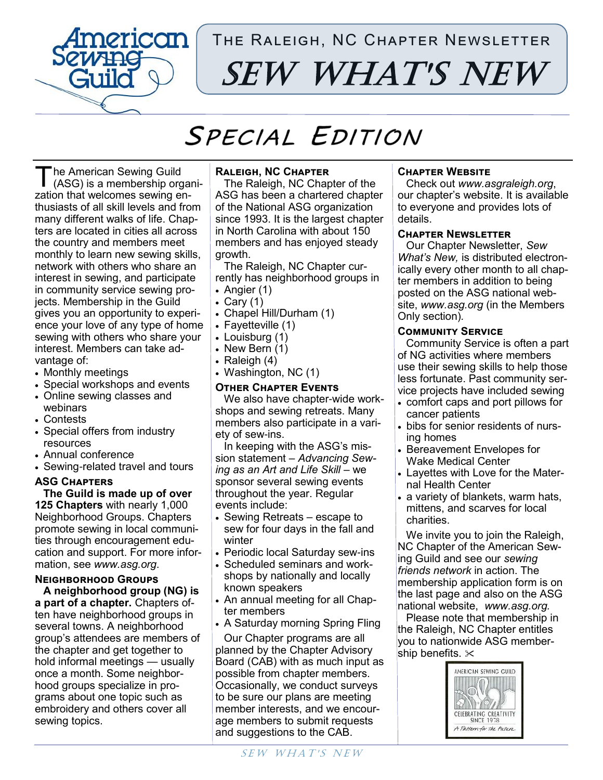

# The Raleigh, NC Chapter Newsletter SEW WHAT'S NEW

# SPECIAL EDITION

T he American Sewing Guild (ASG) is a membership organization that welcomes sewing enthusiasts of all skill levels and from many different walks of life. Chapters are located in cities all across the country and members meet monthly to learn new sewing skills, network with others who share an interest in sewing, and participate in community service sewing projects. Membership in the Guild gives you an opportunity to experience your love of any type of home sewing with others who share your interest. Members can take advantage of:

- Monthly meetings
- Special workshops and events
- Online sewing classes and webinars
- Contests
- Special offers from industry resources
- Annual conference
- Sewing-related travel and tours

## **ASG Chapters**

**The Guild is made up of over 125 Chapters** with nearly 1,000 Neighborhood Groups. Chapters promote sewing in local communities through encouragement education and support. For more information, see *www.asg.org*.

# **Neighborhood Groups**

**A neighborhood group (NG) is a part of a chapter.** Chapters often have neighborhood groups in several towns. A neighborhood group's attendees are members of the chapter and get together to hold informal meetings — usually once a month. Some neighborhood groups specialize in programs about one topic such as embroidery and others cover all sewing topics.

# **Raleigh, NC Chapter**

The Raleigh, NC Chapter of the ASG has been a chartered chapter of the National ASG organization since 1993. It is the largest chapter in North Carolina with about 150 members and has enjoyed steady growth.

The Raleigh, NC Chapter currently has neighborhood groups in • Angier (1)

- Cary (1)
- 
- Chapel Hill/Durham (1)
- Fayetteville (1)
- Louisburg (1)
- New Bern (1)
- Raleigh (4)
- Washington, NC (1)

#### **Other Chapter Events**

We also have chapter-wide workshops and sewing retreats. Many members also participate in a variety of sew-ins.

In keeping with the ASG's mission statement – *Advancing Sewing as an Art and Life Skill* – we sponsor several sewing events throughout the year. Regular events include:

- Sewing Retreats escape to sew for four days in the fall and winter
- Periodic local Saturday sew-ins
- Scheduled seminars and workshops by nationally and locally known speakers
- An annual meeting for all Chapter members
- A Saturday morning Spring Fling

Our Chapter programs are all planned by the Chapter Advisory Board (CAB) with as much input as possible from chapter members. Occasionally, we conduct surveys to be sure our plans are meeting member interests, and we encourage members to submit requests and suggestions to the CAB.

## **Chapter Website**

Check out *www.asgraleigh.org*, our chapter's website. It is available to everyone and provides lots of details.

#### **Chapter Newsletter**

Our Chapter Newsletter, *Sew What's New,* is distributed electronically every other month to all chapter members in addition to being posted on the ASG national website, *www.asg.org* (in the Members Only section)*.*

#### **Community Service**

Community Service is often a part of NG activities where members use their sewing skills to help those less fortunate. Past community service projects have included sewing

- comfort caps and port pillows for cancer patients
- bibs for senior residents of nursing homes
- Bereavement Envelopes for Wake Medical Center
- Layettes with Love for the Maternal Health Center
- a variety of blankets, warm hats, mittens, and scarves for local charities.

We invite you to join the Raleigh, NC Chapter of the American Sewing Guild and see our *sewing friends network* in action. The membership application form is on the last page and also on the ASG national website, *www.asg.org.*

Please note that membership in the Raleigh, NC Chapter entitles you to nationwide ASG membership benefits.  $\times$ 

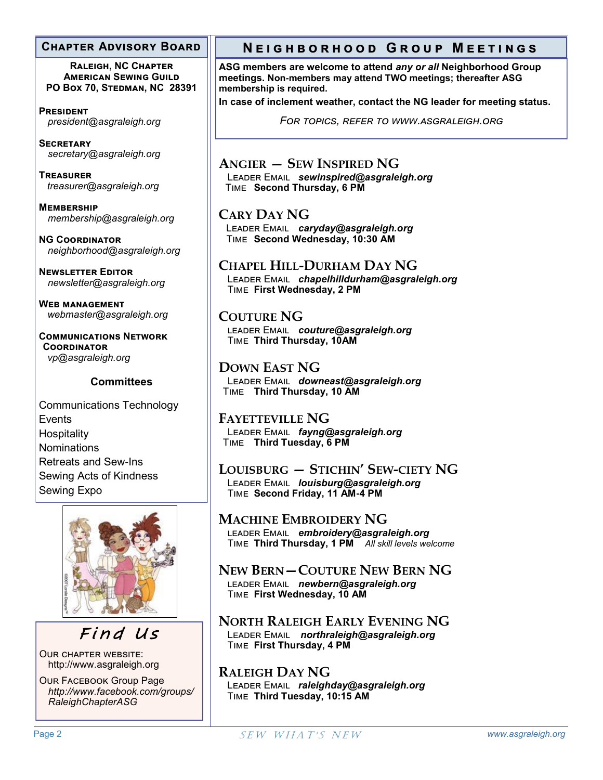#### **Chapter Advisory Board**

**Raleigh, NC Chapter American Sewing Guild PO Box 70, Stedman, NC 28391**

**President**  *president@asgraleigh.org*

**Secretary** *secretary@asgraleigh.org*

**Treasurer** *treasurer@asgraleigh.org*

**Membership** *membership@asgraleigh.org*

**NG Coordinator** *neighborhood@asgraleigh.org*

**Newsletter Editor** *newsletter@asgraleigh.org*

**Web management** *webmaster@asgraleigh.org*

**Communications Network Coordinator**  *vp@asgraleigh.org*

## **Committees**

Communications Technology Events **Hospitality Nominations** Retreats and Sew-Ins Sewing Acts of Kindness Sewing Expo



Find Us

Our chapter website: http://www.asgraleigh.org

Our Facebook Group Page *http://www.facebook.com/groups/ RaleighChapterASG*

# **N e i g h b o r h o o d G r o u p M e e t i n g s**

**ASG members are welcome to attend** *any or all* **Neighborhood Group meetings. Non-members may attend TWO meetings; thereafter ASG membership is required.**

**In case of inclement weather, contact the NG leader for meeting status.**

*For topics, refer to www.asgraleigh.org*

**ANGIER — SEW INSPIRED NG** Leader Email *sewinspired@asgraleigh.org* Time **Second Thursday, 6 PM** 

**CARY DAY NG** Leader Email *caryday@asgraleigh.org* Time **Second Wednesday, 10:30 AM**

**CHAPEL HILL-DURHAM DAY NG**

Leader Email *chapelhilldurham@asgraleigh.org* Time **First Wednesday, 2 PM**

**COUTURE NG** leader Email *couture@asgraleigh.org* Time **Third Thursday, 10AM**

**DOWN EAST NG** Leader Email *downeast@asgraleigh.org* Time **Third Thursday, 10 AM** 

**FAYETTEVILLE NG** Leader Email *fayng@asgraleigh.org* Time **Third Tuesday, 6 PM** 

**LOUISBURG — STICHIN' SEW-CIETY NG** Leader Email *louisburg@asgraleigh.org* Time **Second Friday, 11 AM-4 PM** 

**MACHINE EMBROIDERY NG** leader Email *embroidery@asgraleigh.org* Time **Third Thursday, 1 PM** *All skill levels welcome*

**NEW BERN—COUTURE NEW BERN NG** leader Email *newbern@asgraleigh.org* Time **First Wednesday, 10 AM**

**NORTH RALEIGH EARLY EVENING NG** Leader Email *northraleigh@asgraleigh.org* Time **First Thursday, 4 PM**

**RALEIGH DAY NG** Leader Email *raleighday@asgraleigh.org* Time **Third Tuesday, 10:15 AM**